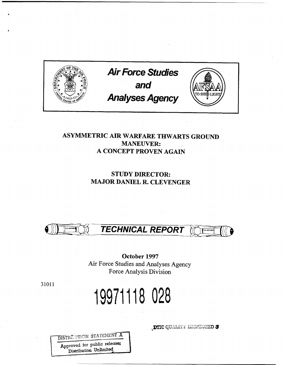

# **ASYMMETRIC AIR WARFARE THWARTS GROUND MANEUVER: A CONCEPT PROVEN AGAIN**

# **STUDY DIRECTOR: MAJOR DANIEL R. CLEVENGER**



**October 1997**  Air Force Studies and Analyses Agency Force Analysis Division

31011

# 19971118 028

| DISTRILUTION STATEMENT A                               |  |
|--------------------------------------------------------|--|
| Approved for public release;<br>Distribution Unlimited |  |

DTIC QUALIFY INSPECTED 3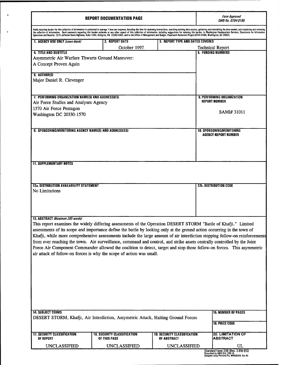### **REPORT DOCUMENTATION PAGE**

 $\ddot{\phantom{0}}$ 

 $\bullet$ 

 $\bar{a}$ 

 $\bar{z}$ 

| <b>Form Approved</b>            |  |
|---------------------------------|--|
| <i><b>OMB No. 0704-0188</b></i> |  |

 $\frac{1}{2}$ 

 $\begin{bmatrix} 1 \\ 1 \\ 1 \\ 1 \end{bmatrix}$ 

 $\frac{1}{2}$ 

| Public reporting burden for this collection of information is estimated to average 1 hour per response, including the time for reviewing instructions, searching existing data sources, gathering and maintaining the data nee                    |                                                                                                                         |                                         |                                    |  |  |
|---------------------------------------------------------------------------------------------------------------------------------------------------------------------------------------------------------------------------------------------------|-------------------------------------------------------------------------------------------------------------------------|-----------------------------------------|------------------------------------|--|--|
| 1. AGENCY USE ONLY (Leave blank)                                                                                                                                                                                                                  | 2. REPORT DATE                                                                                                          | <b>3. REPORT TYPE AND DATES COVERED</b> |                                    |  |  |
|                                                                                                                                                                                                                                                   | October 1997                                                                                                            |                                         | <b>Technical Report</b>            |  |  |
| <b>4. TITLE AND SUBTITLE</b>                                                                                                                                                                                                                      |                                                                                                                         |                                         | <b>5. FUNDING NUMBERS</b>          |  |  |
| Asymmetric Air Warfare Thwarts Ground Maneuver:                                                                                                                                                                                                   |                                                                                                                         |                                         |                                    |  |  |
| A Concept Proven Again                                                                                                                                                                                                                            |                                                                                                                         |                                         |                                    |  |  |
| <b>6. AUTHORIS)</b>                                                                                                                                                                                                                               |                                                                                                                         |                                         |                                    |  |  |
| Major Daniel R. Clevenger                                                                                                                                                                                                                         |                                                                                                                         |                                         |                                    |  |  |
|                                                                                                                                                                                                                                                   |                                                                                                                         |                                         |                                    |  |  |
| 7. PERFORMING ORGANIZATION NAME(S) AND ADDRESS(ES)                                                                                                                                                                                                |                                                                                                                         |                                         | <b>8. PERFORMING ORGANIZATION</b>  |  |  |
| Air Force Studies and Analyses Agency                                                                                                                                                                                                             |                                                                                                                         |                                         | <b>REPORT NUMBER</b>               |  |  |
| 1570 Air Force Pentagon                                                                                                                                                                                                                           |                                                                                                                         |                                         |                                    |  |  |
| Washington DC 20330-1570                                                                                                                                                                                                                          |                                                                                                                         |                                         | SAMI# 31011                        |  |  |
|                                                                                                                                                                                                                                                   |                                                                                                                         |                                         |                                    |  |  |
| 9. SPONSORING/MONITORING AGENCY NAME(S) AND ADDRESS(ES)                                                                                                                                                                                           |                                                                                                                         |                                         | <b>10. SPONSORING/MONITORING</b>   |  |  |
|                                                                                                                                                                                                                                                   |                                                                                                                         |                                         | <b>AGENCY REPORT NUMBER</b>        |  |  |
|                                                                                                                                                                                                                                                   |                                                                                                                         |                                         |                                    |  |  |
|                                                                                                                                                                                                                                                   |                                                                                                                         |                                         |                                    |  |  |
|                                                                                                                                                                                                                                                   |                                                                                                                         |                                         |                                    |  |  |
| <b>11. SUPPLEMENTARY NOTES</b>                                                                                                                                                                                                                    |                                                                                                                         |                                         |                                    |  |  |
|                                                                                                                                                                                                                                                   |                                                                                                                         |                                         |                                    |  |  |
|                                                                                                                                                                                                                                                   |                                                                                                                         |                                         |                                    |  |  |
| <b>12a. DISTRIBUTION AVAILABILITY STATEMENT</b>                                                                                                                                                                                                   |                                                                                                                         |                                         | <b>12b. DISTRIBUTION CODE</b>      |  |  |
| No Limitations                                                                                                                                                                                                                                    |                                                                                                                         |                                         |                                    |  |  |
|                                                                                                                                                                                                                                                   |                                                                                                                         |                                         |                                    |  |  |
|                                                                                                                                                                                                                                                   |                                                                                                                         |                                         |                                    |  |  |
|                                                                                                                                                                                                                                                   |                                                                                                                         |                                         |                                    |  |  |
|                                                                                                                                                                                                                                                   |                                                                                                                         |                                         |                                    |  |  |
| 13. ABSTRACT (Maximum 200 words)                                                                                                                                                                                                                  |                                                                                                                         |                                         |                                    |  |  |
|                                                                                                                                                                                                                                                   | This report examines the widely differing assessments of the Operation DESERT STORM "Battle of Khafji." Limited         |                                         |                                    |  |  |
|                                                                                                                                                                                                                                                   | assessments of its scope and importance define the battle by looking only at the ground action occurring in the town of |                                         |                                    |  |  |
| Khafji, while more comprehensive assessments include the large amount of air interdiction stopping follow-on reinforcements                                                                                                                       |                                                                                                                         |                                         |                                    |  |  |
| from ever reaching the town. Air surveillance, command and control, and strike assets centrally controlled by the Joint<br>Force Air Component Commander allowed the coalition to detect, target and stop those follow-on forces. This asymmetric |                                                                                                                         |                                         |                                    |  |  |
|                                                                                                                                                                                                                                                   |                                                                                                                         |                                         |                                    |  |  |
|                                                                                                                                                                                                                                                   | air attack of follow-on forces is why the scope of action was small.                                                    |                                         |                                    |  |  |
|                                                                                                                                                                                                                                                   |                                                                                                                         |                                         |                                    |  |  |
|                                                                                                                                                                                                                                                   |                                                                                                                         |                                         |                                    |  |  |
|                                                                                                                                                                                                                                                   |                                                                                                                         |                                         |                                    |  |  |
|                                                                                                                                                                                                                                                   |                                                                                                                         |                                         |                                    |  |  |
|                                                                                                                                                                                                                                                   |                                                                                                                         |                                         |                                    |  |  |
|                                                                                                                                                                                                                                                   |                                                                                                                         |                                         |                                    |  |  |
|                                                                                                                                                                                                                                                   |                                                                                                                         |                                         |                                    |  |  |
|                                                                                                                                                                                                                                                   |                                                                                                                         |                                         |                                    |  |  |
| <b>14. SUBJECT TERMS</b>                                                                                                                                                                                                                          |                                                                                                                         |                                         | <b>15. NUMBER OF PAGES</b>         |  |  |
| DESERT STORM, Khafji, Air Interdiction, Assymetric Attack, Halting Ground Forces                                                                                                                                                                  |                                                                                                                         |                                         |                                    |  |  |
|                                                                                                                                                                                                                                                   |                                                                                                                         |                                         | <b>16. PRICE CODE</b>              |  |  |
| <b>17. SECURITY CLASSIFICATION</b>                                                                                                                                                                                                                | <b>18. SECURITY CLASSIFICATION</b>                                                                                      | <b>19. SECURITY CLASSIFICATION</b>      | <b>20. LIMITATION OF</b>           |  |  |
| OF REPORT                                                                                                                                                                                                                                         | OF THIS PAGE                                                                                                            | OF ABSTRACT                             | <b>ABSTRACT</b>                    |  |  |
| <b>UNCLASSIFIED</b>                                                                                                                                                                                                                               | UNCLASSIFIED                                                                                                            | <b>UNCLASSIFIED</b>                     | UL                                 |  |  |
|                                                                                                                                                                                                                                                   |                                                                                                                         |                                         | Standard Form 298 (Rev. 2-89) (EG) |  |  |

Standard Form 298 (Rev. 2-89) (EG)<br>Prescribed by ANSI Std. 239.18<br>Designed using Perform Pro, WHS/DIDR, Oct 94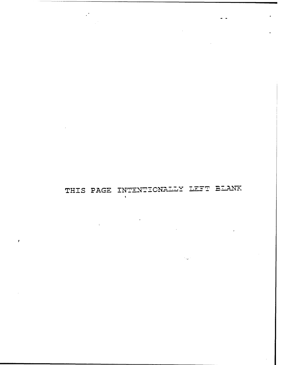THIS PAGE INTENTIONALLY LEFT BLANK  $\mathbf{A}^{\mathrm{eff}}$ 

المهاد

 $\sim$   $\omega$ 

 $\overline{1}$ 

 $\mathbb{R}^2$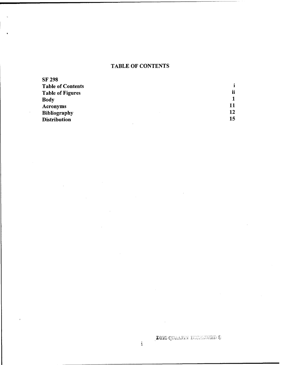## **TABLE OF CONTENTS**

| <b>SF 298</b>            |    |
|--------------------------|----|
| <b>Table of Contents</b> |    |
| <b>Table of Figures</b>  | ii |
| <b>Body</b>              |    |
| Acronyms                 | 11 |
| <b>Bibliography</b>      | 12 |
| <b>Distribution</b>      | 15 |

 $\mathcal{L}_{\mathcal{A}}$ 

 $\Delta \text{MTC}$  QUALITY DECENTION  $\epsilon$ 

 $\sim 10$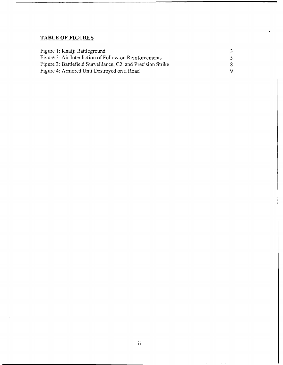## **TABLE OF FIGURES**

| Figure 1: Khafji Battleground                                |   |
|--------------------------------------------------------------|---|
| Figure 2: Air Interdiction of Follow-on Reinforcements       |   |
| Figure 3: Battlefield Surveillance, C2, and Precision Strike | 8 |
| Figure 4: Armored Unit Destroyed on a Road                   | 9 |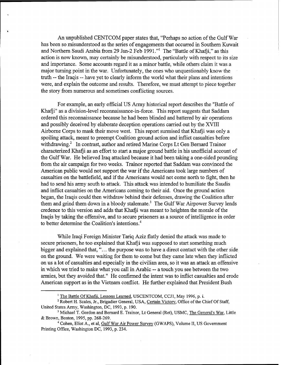An unpublished CENTCOM paper states that, "Perhaps no action of the Gulf War has been so misunderstood as the series of engagements that occurred in Southern Kuwait and Northern Saudi Arabia from 29 Jan-2 Feb 1991."' The "Battle of Khafji," as this action is now known, may certainly be misunderstood, particularly with respect to its size and importance. Some accounts regard it as a minor battle, while others claim it was a major turning point in the war. Unfortunately, the ones who unquestionably know the truth -- the Iraqis -- have yet to clearly inform the world what their plans and intentions were, and explain the outcome and results. Therefore, we must attempt to piece together the story fiom numerous and sometimes conflicting sources.

For example, an early official US Army historical report describes the "Battle of Khafji" as a division-level reconnaissance-in-force. This report suggests that Saddam ordered this reconnaissance because he had been blinded and battered by air operations and possibly deceived by elaborate deception operations carried out by the XVIII Airborne Corps to mask their move west. This report surmised that Khafji was only a spoiling attack, meant to preempt Coalition ground action and inflict casualties before withdrawing.<sup>2</sup> In contrast, author and retired Marine Corps Lt Gen Bernard Trainor characterized Khafji as an effort to start a major ground battle in his unofficial account of the Gulf War. He believed Iraq attacked because it had been taking a one-sided pounding fiom the air campaign for two weeks. Trainor reported that Saddam was convinced the American public would not support the war if the Americans took large numbers of casualties on the battlefield, and if the Americans would not come north to fight, then he had to send his army south to attack. This attack was intended to humiliate the Saudis and inflict casualties on the Americans coming to their aid. Once the ground action began, the Iraqis could then withdraw behind their defenses, drawing the Coalition after them and grind them down in a bloody stale mate.<sup>3</sup> The Gulf War Airpower Survey lends credence to this version and adds that Khafji was meant to heighten the morale of the Iraqis by taking the offensive, and to secure prisoners as a source of intelligence in order to better determine the Coalition's intentions.<sup>4</sup>

While Iraqi Foreign Minister Tariq Aziz flatly denied the attack was made to secure prisoners, he too explained that Khafji was supposed to start something much bigger and explained that, "... the purpose was to have a direct contact with the other side on the ground. We were waiting for them to come but they came late when they inflicted on us a lot of casualties and especially in the civilian area, so it was an attack an offensive in which we tried to make what you call in Arabic -- a touch you see between the two armies, but they avoided that." He confirmed the intent was to inflict casualties and erode American support as in the Vietnam conflict. He further explained that President Bush

<sup>&</sup>lt;sup>1</sup> The Battle Of Khafji, Lessons Learned, USCENTCOM, CCJ1, May 1996, p. i.

<sup>&</sup>lt;sup>2</sup> Robert H. Scales, Jr., Brigadier General, USA, Certain Victory, Office of the Chief Of Staff, United States Army, Washington, DC, 1993, p. 190.

<sup>&</sup>lt;sup>3</sup> Michael T. Gordon and Bernard E. Trainor, Lt General (Ret), USMC, The General's War, Little & Brown, Boston, 1995, pp. 268-269.

Cohen, Eliot A., et al, Gulf War Air Power Survey (GWAPS), Volume 11, US Government Printing Office, Washington DC, 1993, p. 234.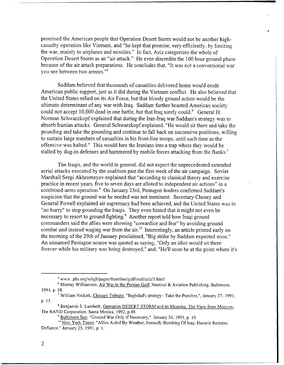promised the American people that Operation Desert Storm would not be another highcasualty operation like Vietnam, and "he kept that promise, very efficiently, by limiting the war, mainly to airplanes and missiles." In fact, Aziz categorizes the whole of Operation Desert Storm as an "air attack." He even discredits the 100 hour ground phase because of the air attack preparations. He concludes that, "It was not a conventional war you see between two armies."<sup>5</sup>

Saddam believed that thousands of casualties delivered home would erode American public support, just as it did during the Vietnam conflict. He also believed that the United States relied on its Air Force, but that bloody ground action would be the ultimate determinant of any war with Iraq. Saddam further boasted American society could not accept 10,000 dead in one battle, but that Iraq surely could.<sup>6</sup> General H. Norman Schwarzkopf explained that during the Iran-Iraq war Saddam's strategy was to absorb Iranian attacks. General Schwarzkopf explained. "He would sit there and take the pounding and take the pounding and continue to fall back on successive positions, uilling to sustain large numbers of casualties in his front-line troops, until such time as the offensive was halted." This would lure the Iranians into a trap where they would be stalled by dug-in defenses and hammered by mobile forces attacking from the flanks.'

The Iraqis, and the world in general, did not expect the unprecedented extended aerial attacks executed by the coalition past the first week of the air campaign. Soviet Marshall Sergi Akhromeyev explained that "according to classical theory and exercise practice in recent years, five to seven days are alloted to independent air actions" in a combined-arms operation.<sup>8</sup> On January 23rd, Pentagon leaders confirmed Saddam's suspicion that the ground war he needed was not imminent. Secretary Cheney and General Powell explained air supremacy had been achieved, and the United States was in "no hurry" to stop pounding the Iraqis. They even hinted that it might not even be necessary to resort to ground fighting.<sup>9</sup> Another report told how Iraqi ground commanders said the allies were showing "cowardice and fear" by avoiding ground combat and instead waging war from the air."' Interestingly, an article printed early on the morning of the 29th of January proclaimed, "Big strike by Saddam expected soon." **An** unnamed Pentagon source was quoted as saying, "Only an idiot would sit there forever while his military was being destroyed," and, "He'll soon be at the point where it's

<sup>&</sup>lt;sup>5</sup> www.pbs.org/wbgh/pages/frontline/gulf/oral/aziz/3.html

<sup>&</sup>lt;sup>6</sup> Murray Williamson, Air War in the Persian Gulf, Nautical & Aviation Publishing, Baltimore. 1994, p. **58.** 

 $\frac{7}{10}$  William Neikirk, Chicago Tribune, "Baghdad's strategy: Take the Punches,", January 27, 1991, **p. 15.** 

<sup>&</sup>lt;sup>8</sup> Benjamin S. Lambeth, Operation DESERT STORM and its Meaning, The View from Moscow, The RAND Corporation, Santa Monica, 1992, **p.48.** 

<sup>&</sup>lt;sup>9</sup> Baltimore Sun, "Ground War Only if Necessary," January 24, 1991, p. 10.

<sup>&</sup>lt;sup>10</sup> New York Times, "Allies Aided By Weather, Intensify Bombing Of Iraq; Hussein Restates Defiance?" January *25.* 1991, p. **1.**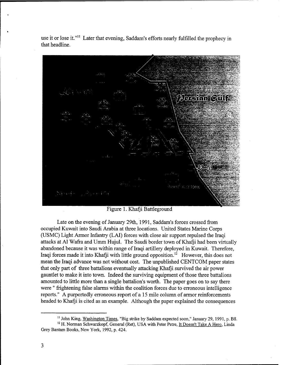use it or lose it."<sup>11</sup> Later that evening, Saddam's efforts nearly fulfilled the prophecy in that headline.



Figure 1. Khafji Battleground **<sup>7</sup>**

Late on the evening of January 29th, 1991, Saddam's forces crossed from occupied Kuwait into Saudi Arabia at three locations. United States Marine Corps (USMC) Light Armor Infantry (LAI) forces with close air support repulsed the Iraqi attacks at Al Wafra and Umm Hujul. The Saudi border town of Khafii had been virtually abandoned because it was within range of Iraqi artillery deployed in Kuwait. Therefore, Iraqi forces made it into Khafji with little ground opposition.<sup>12</sup> However, this does not mean the Iraqi advance was not without cost. The unpublished CENTCOM paper states that only part of three battalions eventually attacking Khafji survived the air power gauntlet to make it into town. Indeed the surviving equipment of those three battalions amounted to little more than a single battalion's worth. The paper goes on to say there were " frightening false alarms within the coalition forces due to erroneous intelligence reports." A purportedly erroneous report of a 15 mile column of armor reinforcements headed to Khafji is cited as an example. Although the paper explained the consequences

<sup>&</sup>lt;sup>11</sup> John King, Washington Times, "Big strike by Saddam expected soon," January 29, 1991, p. B8.

**l2** H. Norman Schwarzkopf, General (Ret), USA with Peter Petre, It Doesn't Take **A** Hero, Linda Grey Bantam Books, New York, 1992, p. 424.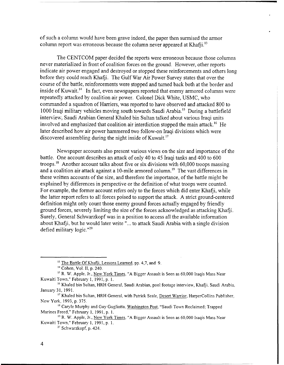of such a column would have been grave indeed, the paper then surmised the armor column report was erroneous because the column never appeared at Khafji.<sup>13</sup>

The CENTCOM paper decided the reports were erroneous because those columns never materialized in front of coalition forces on the ground. However, other reports indicate air power engaged and destroyed or stopped these reinforcements and others long before they could reach Khafji. The Gulf War Air Power Survey states that over the course of the battle, reinforcements were stopped and turned back both at the border and inside of Kuwait.<sup>14</sup> In fact, even newspapers reported that enemy armored columns were repeatedly attacked by coalition air power. Colonel Dick White, USMC, who commanded a squadron of Harriers, was reported to have observed and attacked 800 to 1000 Iraqi military vehicles moving south towards Saudi Arabia.<sup>15</sup> During a battlefield interview, Saudi Arabian General Khaled bin Sultan talked about various Iraqi units involved and emphasized that coalition air interdiction stopped the main attack.<sup>16</sup> He later described how air power hammered two follow-on Iraqi divisions which were discovered assembling during the night inside of Kuwait."

Newspaper accounts also present various views on the size and importance of the battle. One account describes an attack of only 40 to 45 Iraqi tanks and 400 to 600 troops.<sup>18</sup> Another account talks about five or six divisions with  $60,000$  troops massing and a coalition air attack against a 10-mile armored column.<sup>19</sup> The vast differences in these written accounts of the size, and therefore the importance, of the battle might be explained by differences in perspective or the definition of what troops were counted. For example, the former account refers only to the forces which did enter Khafji, while the latter report refers to all forces poised to support the attack. A strict ground-centered definition might only count those enemy ground forces actually engaged by friendly ground forces, severely limiting the size of the forces acknowledged as attacking Khafji. Surely: General Schwarzkopf was in a position to access all the available information about Khafji, but he would later write "... to attack Saudi Arabia with a single division defied military logic."20

<sup>&</sup>lt;sup>13</sup> The Battle Of Khafii, Lessons Learned, pp. 4,7, and 9.

**<sup>I</sup>'** Cohen, Vol 11, p. 240.

<sup>&</sup>lt;sup>15</sup> R. W. Apple. Jr., New York Times. "A Bigger Assault is Seen as 60,000 Iraqis Mass Near Kuwaiti Town," February 1, 1991, p. 1.

<sup>&</sup>lt;sup>16</sup> Khaled bin Sultan, HRH General, Saudi Arabian, pool footage interview, Khafji. Saudi Arabia, January 31, 1991.

<sup>&</sup>lt;sup>17</sup> Khaled bin Sultan, HRH General, with Patrick Seale, Desert Warrior, HarperCollins Publisher, New York. 1993, p. 375

<sup>&</sup>lt;sup>18</sup> Caryle Murphy and Guy Gugliotta, Washington Post, "Saudi Town Reclaimed: Trapped Marines Freed." February 1, 1991, p. **1.** 

<sup>&</sup>lt;sup>19</sup> R. W. Apple, Jr., New York Times. "A Bigger Assault is Seen as 60,000 Iraqis Mass Near Kuwaiti Town," February 1, 1991, p. 1.

 $20$  Schwarzkopf, p. 424.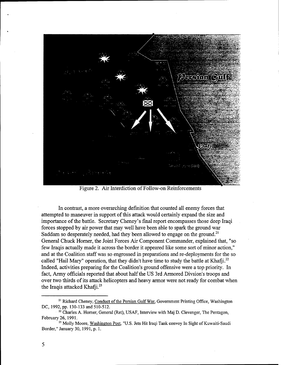

Figure 2. Air Interdiction of Follow-on Reinforcements

In contrast, a more overarching definition that counted all enemy forces that attempted to maneuver in support of this attack would certainly expand the size and importance of the battle. Secretary Cheney's final report encompasses those deep Iraqi forces stopped by air power that may well have been able to spark the ground war Saddam so desperately needed, had they been allowed to engage on the ground.<sup>21</sup> General Chuck Homer, the Joint Forces Air Component Commander, explained that, "so few Iraqis actually made it across the border it appeared like some sort of minor'action," and at the Coalition staff was so engrossed in preparations and re-deployments for the so called "Hail Mary" operation, that they didn't have time to study the battle at Khafji.<sup>22</sup> Indeed, activities preparing for the Coalition's ground offensive were a top priority. In fact, Army officials reported that about half the US 3rd Armored Divsion's troops and over two thirds of its attack helicopters and heavy armor were not ready for combat when the Iraqis attacked Khafji. $^{23}$ 

**<sup>2&#</sup>x27;** Richard Cheney, Conduct of the Persian Gulf War, Government Printing Office, Washington DC, 1992, pp. 130-133 and 510-512.

<sup>&</sup>lt;sup>22</sup> Charles A. Horner, General (Ret), USAF, Interview with Maj D. Clevenger, The Pentagon, February 26, 1991.

<sup>&</sup>lt;sup>23</sup> Molly Moore, Washington Post, "U.S. Jets Hit Iraqi Tank convoy In Sight of Kuwaiti-Saudi Border," January 30, 1991, p. 1.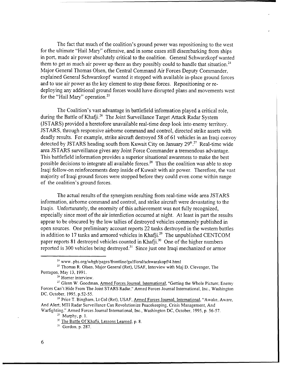The fact that much of the coalition's ground power was repositioning to the west for the ultimate "Hail Mary" offensive, and in some cases still disembarking from ships in port, made air power absolutely critical to the coalition. General Schwarzkopf wanted them to get as much air power up there as they possibly could to handle that situation.<sup>24</sup> Major General Thomas Olsen, the Central Command Air Forces Deputy Commander, explained General Schwarzkopf wanted it stopped with available in-place ground forces and to use air power as the key element to stop those forces. Repositioning or redeploying any additional ground forces would have disrupted plans and movements west for the "Hail Mary" operation.<sup>25</sup>

The Coalition's vast advantage in battlefield information played a critical role, during the Battle of Khafji.<sup>26</sup> The Joint Surveillance Target Attack Radar System (JSTARS) provided a heretofore unavailable real-time deep look into enemy territory. JSTARS, through responsive airborne command and control, directed strike assets with deadly results. For example, strike aircraft destroyed 58 of 61 vehicles in an Iraqi convoy detected by JSTARS heading south from Kuwait City on January  $29<sup>th,27</sup>$  Real-time wide area JSTARS surveillance gives any Joint Force Commander **a** tremendous advantage. This battlefield information provides a superior situational awareness to make the best possible decisions to integrate all available forces.<sup>28</sup> Thus the coalition was able to stop Iraqi follow-on reinforcements deep inside of Kuwait with air power. Therefore, the vast majority of Iraqi ground forces were stopped before they could even come within range of the coalition's ground forces.

The actual results of the synergism resulting fiom real-time wide area JSTARS information, airborne command and control: and strike aircraft were devastating to the Iraqis. Unfortunately, the enormity of this achievement was not fully recognized, especially since most of the air interdiction occurred at night. At least in part the results appear to be obscured by the low tallies of destroyed vehicles commonly published in open sources. One preliminary account reports 22 tanks destroyed in the western battles in addition to 17 tanks and armored vehicles in Khafji.<sup>29</sup> The unpublished CENTCOM paper reports 81 destroyed vehicles counted in Khafji.<sup>30</sup> One of the higher numbers reported is 300 vehicles being destroyed.<sup>31</sup> Since just one Iraqi mechanized or armor

<sup>&</sup>lt;sup>24</sup> www..pbs.org/wbgh/pages/frontline/gulf/oral/schwarzkopf/4.html

<sup>&</sup>lt;sup>25</sup> Thomas R. Olsen, Major General (Ret), USAF, Interview with Maj D. Clevenger, The Pentagon. May 13. 1991.

<sup>&</sup>lt;sup>26</sup> Horner interview.

<sup>&</sup>lt;sup>27</sup> Glenn W. Goodman, Armed Forces Journal. International, "Getting the Whole Picture; Enemy Forces Can't Hide From The Joint STARS Radar." Armed Forces Journal International, Inc., Washington DC. October. 1995, p.52-55.

<sup>&</sup>lt;sup>28</sup> Price T. Bingham, Lt Col (Ret), USAF, Armed Forces Journal. International. "Awake, Aware. And Alert; MTI Radar Surveillance Can Revolutionize Peacekeeping, Crisis Management: And Warfighting." Armed Forces Journal International, Inc., Washington DC, October, 1995. p. 56-57.

**<sup>25</sup>** Murphy, p. 1.

<sup>&</sup>lt;sup>36</sup> The Battle Of Khafii. Lessons Learned, p. 8.

**j'** Gordon. p. 287.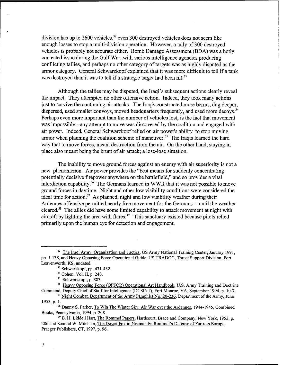division has up to  $2600$  vehicles,  $32$  even 300 destroyed vehicles does not seem like enough losses to stop a multi-division operation. However, a tally of 300 destroyed vehicles is probably not accurate either. Bomb Damage Assessment (BDA) was a hotly contested issue during the Gulf War, with various intelligence agencies producing conflicting tallies, and perhaps no other category of targets was as highly disputed as the armor category. General Schwarzkopf explained that it was more difficult to tell if a tank was destroyed than it was to tell if a strategic target had been hit.<sup>33</sup>

Although the tallies may be disputed, the Iraqi's subsequent actions clearly reveal the impact. They attempted no other offensive action. Indeed, they took many actions just to survive the continuing air attacks. The Iraqis constructed more berms, dug deeper, dispersed, used smaller convoys, moved headquarters frequently, and used more decoys.<sup>34</sup> Perhaps even more important than the number of vehicles lost, is the fact that movement was impossible --any attempt to move was discovered by the coalition and engaged with air power. Indeed, General Schwarzkopf relied on air power's ability to stop moving armor when planning the coalition scheme of maneuver.<sup>35</sup> The Iraqis learned the hard way that to move forces, meant destruction from the air. On the other hand, staying in place also meant being the brunt of air attack; a lose-lose situation.

The inability to move ground forces against an enemy with air superiority is not a new phenomenon. Air power provides the "best means for suddenly concentrating potentially decisive firepower anywhere on the battlefield," and so provides a vital interdiction capability.<sup>36</sup> The Germans learned in WWII that it was not possible to move ground forces in daytime. Night and other low visibility conditions were considered the ideal time for action.<sup>37</sup> As planned, night and low visibility weather during their Ardennes offensive permitted nearly free movement for the Germans -- until the weather cleared.<sup>38</sup> The allies did have some limited capability to attack movement at night with aircraft by lighting the area with flares.<sup>39</sup> This sanctuary existed because pilots relied primarily upon the human eye for detection and engagement.

<sup>&</sup>lt;sup>32</sup> The Iraqi Army; Organization and Tactics, US Army National Training Center, January 1991, pp. 1-138, and Heavy Opposing Force Operational Guide, US TRADOC, Threat Support Division, Fort Leavenworth, KS, undated.

**<sup>33</sup>**Schwarzkopf, pp. 43 1-432.

**<sup>34</sup>**Cohen, Vol. 11, p. 240.

<sup>&</sup>lt;sup>35</sup> Schwarzkopf, p. 383.

<sup>&</sup>lt;sup>36</sup> Heavy Opposing Force (OPFOR) Operational Art Handbook, U.S. Army Training and Doctrine Command, Deputy Chief of Staff for Intelligence (DCSINT), Fort Monroe, VA, September 1994, p. 10-7.

<sup>&</sup>lt;sup>37</sup> Night Combat, Department of the Army Pamphlet No. 20-236, Department of the Army, June 1953, p. 1.

<sup>&</sup>lt;sup>38</sup> Danny S. Parker, To Win The Winter Sky; Air War over the Ardennes, 1944-1945, Combined Books, Pennsylvania, 1994, p. 208.

<sup>&</sup>lt;sup>39</sup> B. H. Liddell Hart, The Rommel Papers, Hardcourt, Brace and Company, New York, 1953, p. 286 and Samuel W. Mitcham, The Desert Fox in Normandy: Rommel's Defense of Fortress Europe, Praeger Publishers, CT, 1997, p. 96.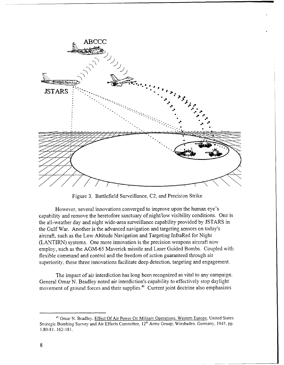

Figure 3. Battlefield Surveillance, C2, and Precision Strike

However, several innovations converged to improve upon the human eye's capability and remove the heretofore sanctuary of night/low visibility conditions. One is the all-weather day and night wide-area surveillance capability provided by JSTARS in the Gulf War. Another is the advanced navigation and targeting sensors on today's aircraft, such as the Low Altitude Navigation and Targeting InfraRed for Night (LAXTIRN) systems. One more innovation is the precision weapons aircraft now employ, such as the AGM-65 Maverick missile and Laser Guided Bombs. Coupled with flexible command and control and the freedom of action guaranteed through air superiority, these three innovations facilitate deep detection, targeting and engagement.

The impact of air interdiction has long been recognized as vital to any campaign. General Omar N. Bradley noted air interdiction's capability to effectively stop daylight movement of ground forces and their supplies. $40~$  Current joint doctrine also emphasizes

<sup>&</sup>lt;sup>40</sup> Omar N. Bradley, *Effect Of Air Power On Military Operations. Western Europe*, United States Strategic Bombing Survey and Air Effects Committee, 12<sup>th</sup> Army Group, Wiesbaden. Germany, 1945, pp. 1.80-81. 162-181.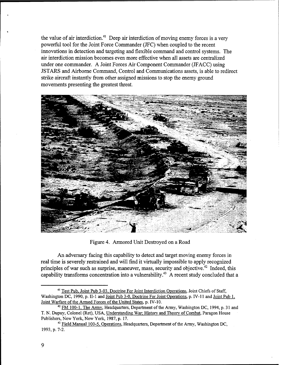the value of air interdiction.<sup>41</sup> Deep air interdiction of moving enemy forces is a very powerful tool for the Joint Force Commander (JFC) when coupled to the recent innovations in detection and targeting and flexible command and control systems. The air interdiction mission becomes even more effective when all assets are centralized under one commander. A Joint Forces Air Component Commander (JFACC) using JSTARS and Airborne Command, Control and Communications assets, is able to redirect strike aircraft instantly from other assigned missions to stop the enemy ground movements presenting the greatest threat.



Figure 4. Armored Unit Destroyed on a Road

An adversary facing this capability to detect and target moving enemy forces in real time is severely restrained and will find it virtually impossible to apply recognized principles of war such as surprise, maneuver, mass, security and objective.<sup>42</sup> Indeed, this capability transforms concentration into a vulnerability.<sup> $43$ </sup> A recent study concluded that a

**<sup>4&#</sup>x27;** Test Pub, Joint Pub 3-03, Doctrine For Joint Interdiction Operations, Joint Chiefs of Staff, Washington DC, 1990, p. II-1 and Joint Pub 3-0, Doctrine For Joint Operations, p. IV-11 and Joint Pub 1, Joint Warfare of the Armed Forces of the United States, p. IV-10.

<sup>&</sup>lt;sup>42</sup> FM 100-1, The Army, Headquarters, Department of the Army, Washington DC, 1994, p. 31 and T. N. Dupuy, Colonel (Ret), USA, Understanding War; History and Theorv of Combat, Paragon House Publishers, New York, New York, 1987, p. 17.

**<sup>43</sup>**Field Manual 100-5, Operations, Headquarters, Department of the Army, Washington DC, 1993, p. 7-2.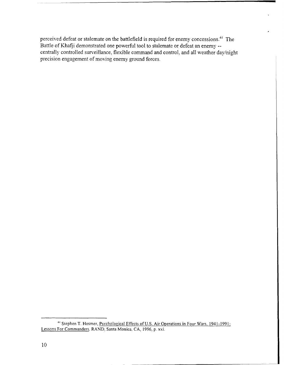perceived defeat or stalemate on the battlefield is required for enemy concessions.<sup>44</sup> The Battle of Khafji demonstrated one powerful tool to stalemate or defeat an enemy - centrally controlled surveillance, flexible command and control, and all weather day/night precision engagement of moving enemy ground forces.

<sup>&</sup>lt;sup>44</sup> Stephen T. Hosmer, Psychological Effects of U.S. Air Operations in Four Wars, 1941-1991; Lessons For Commanders. RAND, Santa Monica. CA, 1996, p. **xxi.**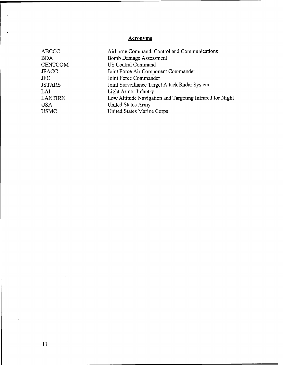### **Acronyms**

ABCCC Airborne Command, Control and Communications<br>BDA Bomb Damage Assessment BDA Bomb Damage Assessment<br>CENTCOM US Central Command US Central Command JFACC Joint Force Air Component Commander<br>JFC Joint Force Commander Joint Force Commander JSTARS Joint Surveillance Target Attack Radar System LAI Light Armor Infantry<br>
LANTIRN LOW Altitude Navigat LANTIRN Low Altitude Navigation and Targeting Infrared for Night<br>USA United States Army USA United States Army<br>USMC United States Marine United States Marine Corps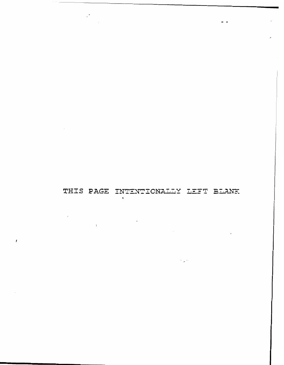THIS PAGE INTENTIONALLY LEFT BLANK  $\sim 10$ 

 $\mathcal{L}^{\text{max}}_{\text{max}}$ 

 $\mathcal{L}(\mathcal{L}(\mathcal{L}(\mathcal{L}(\mathcal{L}(\mathcal{L}(\mathcal{L}(\mathcal{L}(\mathcal{L}(\mathcal{L}(\mathcal{L}(\mathcal{L}(\mathcal{L}(\mathcal{L}(\mathcal{L}(\mathcal{L}(\mathcal{L}(\mathcal{L}(\mathcal{L}(\mathcal{L}(\mathcal{L}(\mathcal{L}(\mathcal{L}(\mathcal{L}(\mathcal{L}(\mathcal{L}(\mathcal{L}(\mathcal{L}(\mathcal{L}(\mathcal{L}(\mathcal{L}(\mathcal{L}(\mathcal{L}(\mathcal{L}(\mathcal{L}(\mathcal{L}(\mathcal{$ 

 $\overline{\phantom{a}}$ 

 $\mathcal{A}^{\text{max}}$ 

 $\sim 10^7$ 

 $\mathcal{L}(\mathcal{A})$  and  $\mathcal{L}(\mathcal{A})$  .

 $\mathbf{r}$ 

 $\mathcal{L}^{\text{max}}_{\text{max}}$  and  $\mathcal{L}^{\text{max}}_{\text{max}}$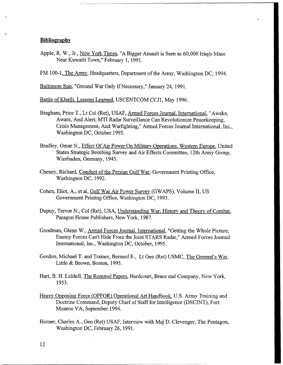#### **Bibliography**

Apple, R. W., Jr., New York Times, "A Bigger Assault is Seen as 60,000 Iraqis Mass Near Kuwaiti Town," February 1, 1991.

FM 100-1, The Army, Headquarters, Department of the Army, Washington DC, 1994.

Baltimore Sun, "Ground War Only if Necessary," January 24, 1991.

Battle of Khafii, Lessons Learned, USCENTCOM CCJ1, May 1996.

- Bingham, Price T., Lt Col (Ret), USAF, Armed Forces Journal, Intemational, "Awake, Aware, And Alert; MTI Radar Surveillance Can Revolutionize Peacekeeping, Crisis Management, And Warfighting," Armed Forces Journal Intemational, Inc., Washington DC, October 1995.
- Bradley, Omar N., Effect Of Air Power On Military Operations, Western Europe, United States Strategic Bombing Survey and Air Effects Committee, 12th Army Group, Wiesbaden, Germany, 1945.
- Cheney, Richard, Conduct of the Persian Gulf War, Government Printing Office, Washington DC, 1992.
- Cohen, Eliot, A., et al, Gulf War Air Power Survey (GWAPS), Volume 11, US Government Printing Office, Washington DC, 1993.
- Dupuy, Trevor N., Col (Ret), USA, Understanding War; History and Theory of Combat, Paragon House Publishers, New York, 1987.
- Goodman, Glenn W., Armed Forces Journal, International, "Getting the Whole Picture; Enemy Forces Can't Hide From the Joint STARS Radar," Armed Forces Journal International, Inc., Washington DC, October, 1995.
- Gordon, Michael T. and Trainor, Bernard E., Lt Gen (Ret) USMC, The General's War, Little & Brown, Boston, 1995.
- Hart, B. H. Liddell, The Rommel Papers, Hardcourt, Brace and Company, New York, 1953.
- Heavy Opposing Force (OPFOR) Operational Art Handbook, U.S. Army Training and Doctrine Command, Deputy Chief of Staff for Intelligence (DSCINT), Fort Monroe VA, September 1994.
- Homer, Charles A., Gen (Ret) USAF, Interview with Maj D. Clevenger, The Pentagon, Washington DC, February 26, 1991.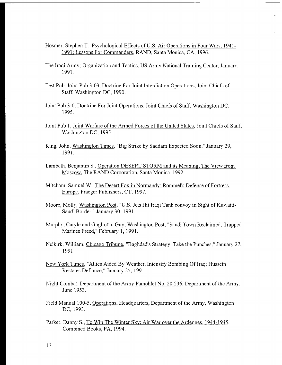- Hosmer, Stephen T., Psychological Effects of U.S. Air Operations in Four Wars. 1941-1991: Lessons For Commanders, RAND, Santa Monica, CA, 1996.
- The Iraqi Army; Organization and Tactics, US Army National Training Center, January, 1991.
- Test Pub, Joint Pub 3-03, Doctrine For Joint Interdiction Operations, Joint Chiefs of Staff. Washington DC, 1990.
- Joint Pub 3-0, Doctrine For Joint Operations, Joint Chiefs of Staff, Washington DC, 1995.
- Joint Pub 1, Joint Warfare of the Armed Forces of the United States, Joint Chiefs of Staff, Washington DC, 1995
- King. John, Washington Times, "Big Strike by Saddam Expected Soon," January 29, 1991.
- Lambeth, Benjamin S., Operation DESERT STORM and its Meaning. The View from Moscow, The RAND Corporation, Santa Monica, 1992.
- Mitcham, Samuel W., The Desert Fox in Normandy: Rommel's Defense of Fortress Europe, Praeger Publishers, CT, 1997.
- Moore, Molly, Washineton Post, "U.S. Jets Hit Iraqi Tank convoy in Sight of Kuwaiti-Saudi Border," January 30, 1991.
- Murphy, Caryle and Gugliotta, Guy, Washington Post, "Saudi Town Reclaimed; Trapped Marines Freed," February 1, 1991.
- Neikirk, William, Chicago Tribune, "Baghdad's Strategy: Take the Punches," Januarj- 27, 1991.
- New York Times, "Allies Aided By Weather, Intensify Bombing Of Iraq: Hussein Restates Defiance," January 25, 1991.
- Night Combat. Department of the Army Pamphlet No. 20-236, Department of the Army, June 1953.
- Field Manual 100-5, Operations, Headquarters, Department of the Army, Washington DC. 1993.
- Parker, Danny S., To Win The Winter Sky: Air War over the Ardennes. 1944-1945. Combined Books, PA, 1994.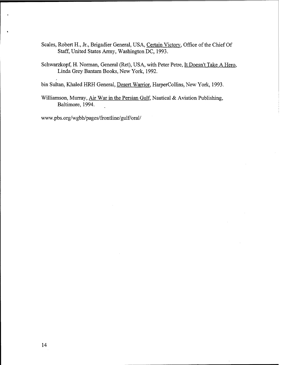- Scales, Robert H., Jr., Brigadier General, USA, Certain Victory, Office of the Chief Of Staff, United States Army, Washington DC, 1993.
- Schwarzkopf, H. Norman, General (Ret), USA, with Peter Petre, It Doesn't Take A Hero, Linda Grey Bantam Books, New York, 1992.

bin Sultan, Khaled HRH General, Desert Warrior, HarperCollins, New York, 1993.

Williamson, Murray, Air War in the Persian Gulf, Nautical & Aviation Publishing, Baltimore, 1994.

www.pbs.org/wgbh/pages/frontline/gulf/oral/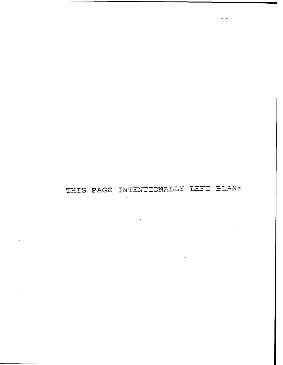## THIS PAGE INTENTIONALLY LEFT BLANK  $\sim 4$

 $\sim$   $\sim$ 

 $\mathcal{O}(\log n)$ 

 $\mathcal{L}^{\text{max}}_{\text{max}}$  .

 $\mathcal{L}(\mathcal{F})$ 

 $\label{eq:2.1} \mathbf{E}^{(1)} = \mathbf{E}^{(1)} \mathbf{E}^{(1)}$ 

 $\mathbf{r}$ 

 $\sim 10^{-11}$ 

 $\sim 10$